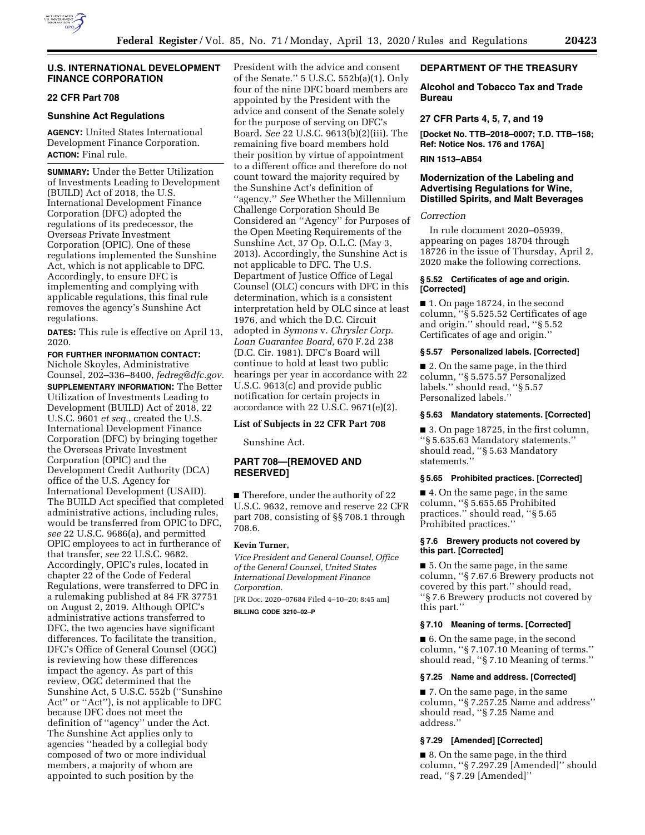

## **U.S. INTERNATIONAL DEVELOPMENT FINANCE CORPORATION**

# **22 CFR Part 708**

### **Sunshine Act Regulations**

**AGENCY:** United States International Development Finance Corporation. **ACTION:** Final rule.

**SUMMARY:** Under the Better Utilization of Investments Leading to Development (BUILD) Act of 2018, the U.S. International Development Finance Corporation (DFC) adopted the regulations of its predecessor, the Overseas Private Investment Corporation (OPIC). One of these regulations implemented the Sunshine Act, which is not applicable to DFC. Accordingly, to ensure DFC is implementing and complying with applicable regulations, this final rule removes the agency's Sunshine Act regulations.

**DATES:** This rule is effective on April 13, 2020.

**FOR FURTHER INFORMATION CONTACT:**  Nichole Skoyles, Administrative Counsel, 202–336–8400, *[fedreg@dfc.gov.](mailto:fedreg@dfc.gov)*  **SUPPLEMENTARY INFORMATION:** The Better Utilization of Investments Leading to Development (BUILD) Act of 2018, 22 U.S.C. 9601 *et seq.,* created the U.S. International Development Finance Corporation (DFC) by bringing together the Overseas Private Investment Corporation (OPIC) and the Development Credit Authority (DCA) office of the U.S. Agency for International Development (USAID). The BUILD Act specified that completed administrative actions, including rules, would be transferred from OPIC to DFC, *see* 22 U.S.C. 9686(a), and permitted OPIC employees to act in furtherance of that transfer, *see* 22 U.S.C. 9682. Accordingly, OPIC's rules, located in chapter 22 of the Code of Federal Regulations, were transferred to DFC in a rulemaking published at 84 FR 37751 on August 2, 2019. Although OPIC's administrative actions transferred to DFC, the two agencies have significant differences. To facilitate the transition, DFC's Office of General Counsel (OGC) is reviewing how these differences impact the agency. As part of this review, OGC determined that the Sunshine Act, 5 U.S.C. 552b (''Sunshine Act'' or ''Act''), is not applicable to DFC because DFC does not meet the definition of ''agency'' under the Act. The Sunshine Act applies only to agencies ''headed by a collegial body composed of two or more individual members, a majority of whom are appointed to such position by the

President with the advice and consent of the Senate.'' 5 U.S.C. 552b(a)(1). Only four of the nine DFC board members are appointed by the President with the advice and consent of the Senate solely for the purpose of serving on DFC's Board. *See* 22 U.S.C. 9613(b)(2)(iii). The remaining five board members hold their position by virtue of appointment to a different office and therefore do not count toward the majority required by the Sunshine Act's definition of ''agency.'' *See* Whether the Millennium Challenge Corporation Should Be Considered an ''Agency'' for Purposes of the Open Meeting Requirements of the Sunshine Act, 37 Op. O.L.C. (May 3, 2013). Accordingly, the Sunshine Act is not applicable to DFC. The U.S. Department of Justice Office of Legal Counsel (OLC) concurs with DFC in this determination, which is a consistent interpretation held by OLC since at least 1976, and which the D.C. Circuit adopted in *Symons* v. *Chrysler Corp. Loan Guarantee Board,* 670 F.2d 238 (D.C. Cir. 1981). DFC's Board will continue to hold at least two public hearings per year in accordance with 22 U.S.C. 9613(c) and provide public notification for certain projects in accordance with 22 U.S.C. 9671(e)(2).

#### **List of Subjects in 22 CFR Part 708**

Sunshine Act.

# **PART 708—[REMOVED AND RESERVED]**

■ Therefore, under the authority of 22 U.S.C. 9632, remove and reserve 22 CFR part 708, consisting of §§ 708.1 through 708.6.

### **Kevin Turner,**

*Vice President and General Counsel, Office of the General Counsel, United States International Development Finance Corporation.* 

[FR Doc. 2020–07684 Filed 4–10–20; 8:45 am] **BILLING CODE 3210–02–P** 

### **DEPARTMENT OF THE TREASURY**

## **Alcohol and Tobacco Tax and Trade Bureau**

## **27 CFR Parts 4, 5, 7, and 19**

**[Docket No. TTB–2018–0007; T.D. TTB–158; Ref: Notice Nos. 176 and 176A]** 

# **RIN 1513–AB54**

# **Modernization of the Labeling and Advertising Regulations for Wine, Distilled Spirits, and Malt Beverages**

### *Correction*

In rule document 2020–05939, appearing on pages 18704 through 18726 in the issue of Thursday, April 2, 2020 make the following corrections.

#### **§ 5.52 Certificates of age and origin. [Corrected]**

■ 1. On page 18724, in the second column, ''§ 5.525.52 Certificates of age and origin.'' should read, ''§ 5.52 Certificates of age and origin.''

#### **§ 5.57 Personalized labels. [Corrected]**

■ 2. On the same page, in the third column, ''§ 5.575.57 Personalized labels.'' should read, ''§ 5.57 Personalized labels.''

### **§ 5.63 Mandatory statements. [Corrected]**

■ 3. On page 18725, in the first column, ''§ 5.635.63 Mandatory statements.'' should read, ''§ 5.63 Mandatory statements.''

#### **§ 5.65 Prohibited practices. [Corrected]**

■ 4. On the same page, in the same column, ''§ 5.655.65 Prohibited practices.'' should read, ''§ 5.65 Prohibited practices.''

#### **§ 7.6 Brewery products not covered by this part. [Corrected]**

■ 5. On the same page, in the same column, ''§ 7.67.6 Brewery products not covered by this part.'' should read, ''§ 7.6 Brewery products not covered by this part.''

### **§ 7.10 Meaning of terms. [Corrected]**

■ 6. On the same page, in the second column, ''§ 7.107.10 Meaning of terms.'' should read, ''§ 7.10 Meaning of terms.''

### **§ 7.25 Name and address. [Corrected]**

■ 7. On the same page, in the same column, ''§ 7.257.25 Name and address'' should read, ''§ 7.25 Name and address.''

## **§ 7.29 [Amended] [Corrected]**

■ 8. On the same page, in the third column, ''§ 7.297.29 [Amended]'' should read, ''§ 7.29 [Amended]''